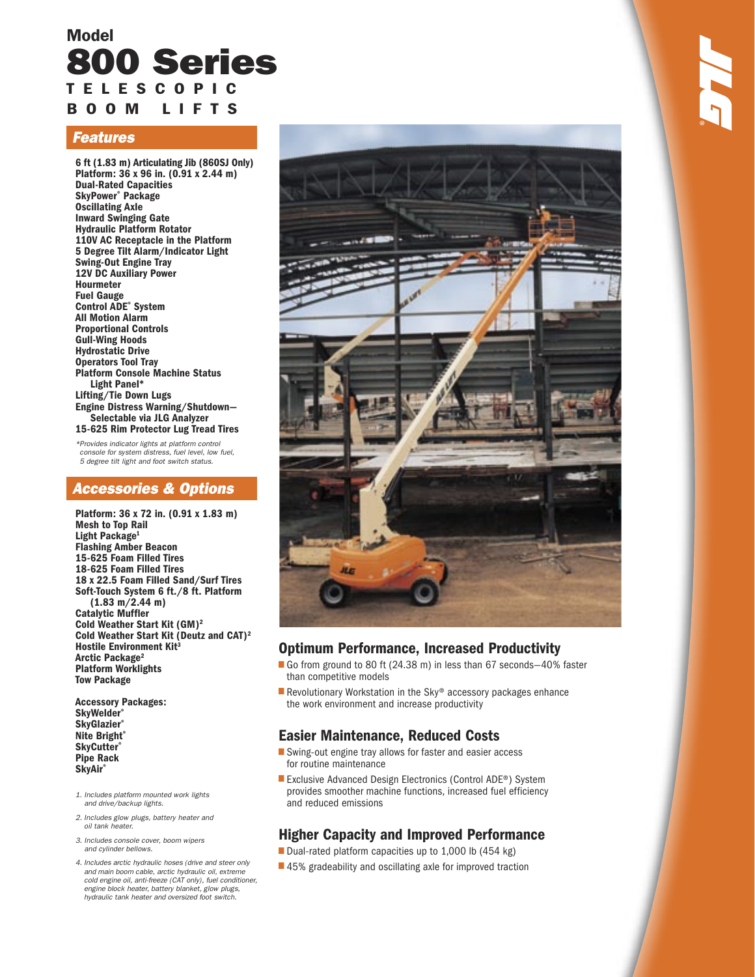# Model 800 Series T E L E S C O P I C B O O M L I F T S

## Features

6 ft (1.83 m) Articulating Jib (860SJ Only) Platform: 36 x 96 in. (0.91 x 2.44 m) Dual-Rated Capacities SkyPower® Package Oscillating Axle Inward Swinging Gate Hydraulic Platform Rotator 110V AC Receptacle in the Platform 5 Degree Tilt Alarm/Indicator Light Swing-Out Engine Tray 12V DC Auxiliary Power Hourmeter Fuel Gauge Control ADE® System All Motion Alarm Proportional Controls Gull-Wing Hoods Hydrostatic Drive Operators Tool Tray Platform Console Machine Status Light Panel\* Lifting/Tie Down Lugs Engine Distress Warning/Shutdown— Selectable via JLG Analyzer 15-625 Rim Protector Lug Tread Tires

\* Provides indicator lights at platform control console for system distress, fuel level, low fuel, 5 degree tilt light and foot switch status.

### Accessories & Options

Platform: 36 x 72 in. (0.91 x 1.83 m) Mesh to Top Rail Light Package<sup>1</sup> Flashing Amber Beacon 15-625 Foam Filled Tires 18-625 Foam Filled Tires 18 x 22.5 Foam Filled Sand/Surf Tires Soft-Touch System 6 ft./8 ft. Platform  $(1.83 \text{ m}/2.44 \text{ m})$ Catalytic Muffler Cold Weather Start Kit (GM)2 Cold Weather Start Kit (Deutz and CAT)2 Hostile Environment Kit<sup>3</sup> Arctic Package<sup>2</sup> Platform Worklights Tow Package

Accessory Packages: SkyWelder® **SkyGlazier® Nite Bright® SkyCutter®** Pipe Rack **SkyAir®** 

- 1. Includes platform mounted work lights and drive/backup lights.
- 2. Includes glow plugs, battery heater and oil tank heater.
- 3. Includes console cover, boom wipers and cylinder bellows.
- 4. Includes arctic hydraulic hoses (drive and steer only and main boom cable, arctic hydraulic oil, extreme cold engine oil, anti-freeze (CAT only), fuel conditioner, engine block heater, battery blanket, glow plugs, hydraulic tank heater and oversized foot switch.



## Optimum Performance, Increased Productivity

- <u>ا</u><br>ا ■ Go from ground to 80 ft (24.38 m) in less than 67 seconds-40% faster than competitive models
- ■ Revolutionary Workstation in the Sky® accessory packages enhance the work environment and increase productivity

## Easier Maintenance, Reduced Costs

- Swing-out engine tray allows for faster and easier access for routine maintenance
- ■ Exclusive Advanced Design Electronics (Control ADE<sup>®</sup>) System provides smoother machine functions, increased fuel efficiency and reduced emissions

## Higher Capacity and Improved Performance

- Dual-rated platform capacities up to 1,000 lb  $(454 \text{ kg})$ •
- 45% gradeability and oscillating axle for improved traction